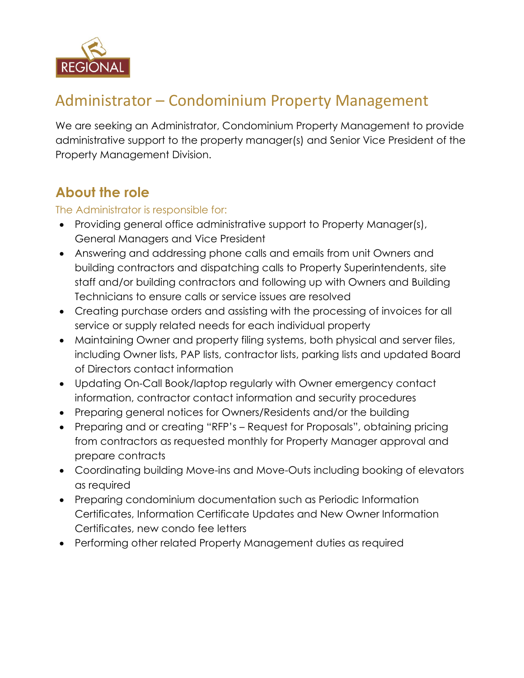

# Administrator – Condominium Property Management

We are seeking an Administrator, Condominium Property Management to provide administrative support to the property manager(s) and Senior Vice President of the Property Management Division.

### **About the role**

#### The Administrator is responsible for:

- Providing general office administrative support to Property Manager(s), General Managers and Vice President
- Answering and addressing phone calls and emails from unit Owners and building contractors and dispatching calls to Property Superintendents, site staff and/or building contractors and following up with Owners and Building Technicians to ensure calls or service issues are resolved
- Creating purchase orders and assisting with the processing of invoices for all service or supply related needs for each individual property
- Maintaining Owner and property filing systems, both physical and server files, including Owner lists, PAP lists, contractor lists, parking lists and updated Board of Directors contact information
- Updating On-Call Book/laptop regularly with Owner emergency contact information, contractor contact information and security procedures
- Preparing general notices for Owners/Residents and/or the building
- Preparing and or creating "RFP's Request for Proposals", obtaining pricing from contractors as requested monthly for Property Manager approval and prepare contracts
- Coordinating building Move-ins and Move-Outs including booking of elevators as required
- Preparing condominium documentation such as Periodic Information Certificates, Information Certificate Updates and New Owner Information Certificates, new condo fee letters
- Performing other related Property Management duties as required